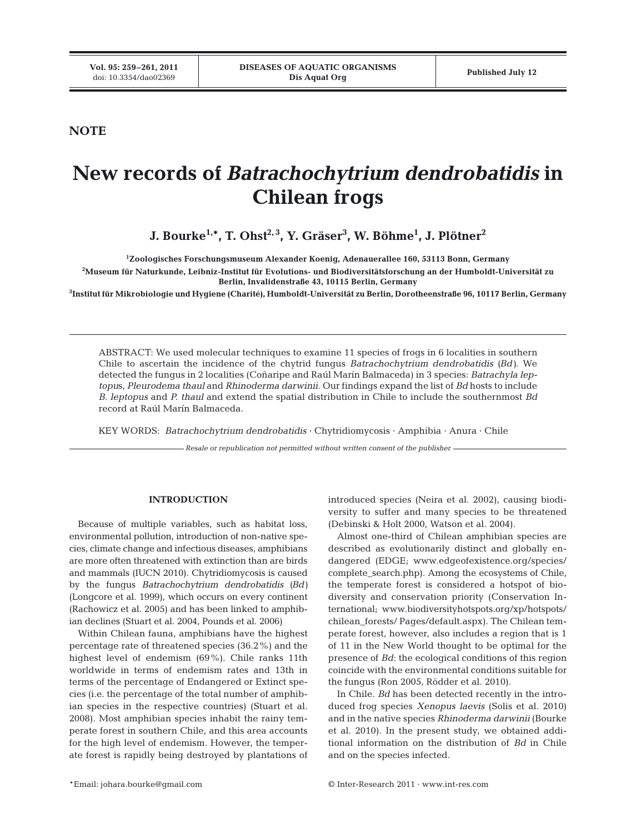**NOTE**

# **New records of** *Batrachochytrium dendrobatidis* **in Chilean frogs**

**J. Bourke1,\*, T. Ohst2, 3, Y. Gräser3 , W. Böhme1 , J. Plötner2**

**1 Zoologisches Forschungsmuseum Alexander Koenig, Adenauerallee 160, 53113 Bonn, Germany**

**2 Museum für Naturkunde, Leibniz-Institut für Evolutions- und Biodiversitätsforschung an der Humboldt-Universität zu Berlin, Invalidenstraße 43, 10115 Berlin, Germany**

**3 Institut für Mikrobiologie und Hygiene (Charité), Humboldt-Universität zu Berlin, Dorotheenstraße 96, 10117 Berlin, Germany**

ABSTRACT: We used molecular techniques to examine 11 species of frogs in 6 localities in southern Chile to ascertain the incidence of the chytrid fungus *Batrachochytrium dendrobatidis (Bd)*. We detected the fungus in 2 localities (Coñaripe and Raúl Marín Balmaceda) in 3 species: *Batrachyla leptopu*s, *Pleurodema thaul* and *Rhinoderma darwinii*. Our findings expand the list of *Bd* hosts to include *B. leptopus* and *P. thaul* and extend the spatial distribution in Chile to include the southernmost *Bd* record at Raúl Marín Balmaceda.

KEY WORDS: *Batrachochytrium dendrobatidis* · Chytridiomycosis · Amphibia · Anura · Chile

*Resale or republication not permitted without written consent of the publisher*

### **INTRODUCTION**

Because of multiple variables, such as habitat loss, environmental pollution, introduction of non-native species, climate change and infectious diseases, amphibians are more often threatened with extinction than are birds and mammals (IUCN 2010). Chytridiomycosis is caused by the fungus *Batrachochytrium dendrobatidis (Bd)* (Longcore et al. 1999), which occurs on every continent (Rachowicz et al. 2005) and has been linked to amphibian declines (Stuart et al. 2004, Pounds et al. 2006)

Within Chilean fauna, amphibians have the highest percentage rate of threatened species (36.2%) and the highest level of endemism (69%). Chile ranks 11th worldwide in terms of endemism rates and 13th in terms of the percentage of Endangered or Extinct species (i.e. the percentage of the total number of amphibian species in the respective countries) (Stuart et al. 2008). Most amphibian species inhabit the rainy temperate forest in southern Chile, and this area accounts for the high level of endemism. However, the temperate forest is rapidly being destroyed by plantations of

introduced species (Neira et al. 2002), causing biodiversity to suffer and many species to be threatened (Debinski & Holt 2000, Watson et al. 2004).

Almost one-third of Chilean amphibian species are described as evolutionarily distinct and globally endangered (EDGE; www.edgeofexistence.org/species/ complete\_search.php). Among the ecosystems of Chile, the temperate forest is considered a hotspot of biodiversity and conservation priority (Conservation In ternational; www.biodiversityhotspots.org/xp/hotspots/ chilean\_forests/ Pages/default.aspx). The Chilean temperate forest, however, also includes a region that is 1 of 11 in the New World thought to be optimal for the presence of *Bd*: the ecological conditions of this region coincide with the environmental conditions suitable for the fungus (Ron 2005, Rödder et al. 2010).

In Chile. *Bd* has been detected recently in the introduced frog species *Xenopus laevis* (Solis et al. 2010) and in the native species *Rhinoderma darwinii* (Bourke et al. 2010). In the present study, we obtained additional information on the distribution of *Bd* in Chile and on the species infected.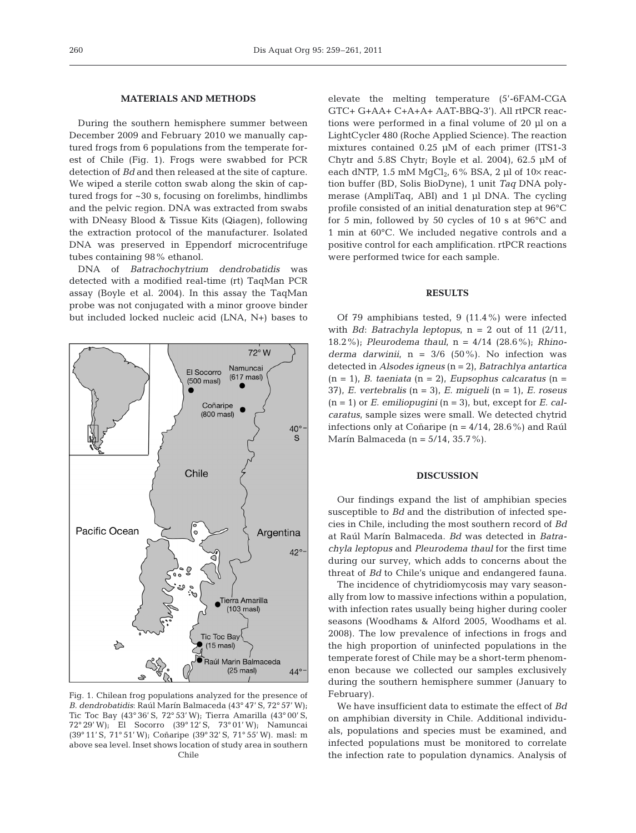### **MATERIALS AND METHODS**

During the southern hemisphere summer between December 2009 and February 2010 we manually captured frogs from 6 populations from the temperate forest of Chile (Fig. 1). Frogs were swabbed for PCR detection of *Bd* and then released at the site of capture. We wiped a sterile cotton swab along the skin of captured frogs for ~30 s, focusing on forelimbs, hindlimbs and the pelvic region. DNA was extracted from swabs with DNeasy Blood & Tissue Kits (Qiagen), following the extraction protocol of the manufacturer. Isolated DNA was preserved in Eppendorf microcentrifuge tubes containing 98% ethanol.

DNA of *Batrachochytrium dendrobatidis* was detected with a modified real-time (rt) TaqMan PCR assay (Boyle et al. 2004). In this assay the TaqMan probe was not conjugated with a minor groove binder but included locked nucleic acid (LNA, N+) bases to



Fig. 1. Chilean frog populations analyzed for the presence of *B. dendrobatidis*: Raúl Marín Balmaceda (43° 47' S, 72° 57' W); Tic Toc Bay (43° 36' S, 72° 53' W); Tierra Amarilla (43° 00' S, 72° 29' W); El Socorro (39° 12' S, 73° 01' W); Namuncai (39° 11' S, 71° 51' W); Coñaripe (39° 32' S, 71° 55' W). masl: m above sea level. Inset shows location of study area in southern Chile

elevate the melting temperature (5'-6FAM-CGA GTC+ G+AA+ C+A+A+ AAT-BBQ-3'). All rtPCR reactions were performed in a final volume of 20 µl on a LightCycler 480 (Roche Applied Science). The reaction mixtures contained 0.25 µM of each primer (ITS1-3 Chytr and 5.8S Chytr; Boyle et al. 2004), 62.5 µM of each dNTP, 1.5 mM  $MqCl<sub>2</sub>$ , 6% BSA, 2 µl of 10 $\times$  reaction buffer (BD, Solis BioDyne), 1 unit *Taq* DNA polymerase (AmpliTaq, ABI) and 1 µl DNA. The cycling profile consisted of an initial denaturation step at 96°C for 5 min, followed by 50 cycles of 10 s at 96°C and 1 min at 60°C. We included negative controls and a positive control for each amplification. rtPCR reactions were performed twice for each sample.

## **RESULTS**

Of 79 amphibians tested, 9 (11.4%) were infected with *Bd*: *Batrachyla leptopus*,  $n = 2$  out of 11 (2/11, 18.2%); *Pleurodema thaul*, n = 4/14 (28.6%); *Rhinoderma darwinii*,  $n = 3/6$  (50%). No infection was detected in *Alsodes igneus* (n = 2), *Batrachlya antartica* (n = 1), *B. taeniata* (n = 2), *Eupsophus calcaratus* (n = 37), *E. vertebralis* (n = 3), *E. migueli* (n = 1), *E. roseus*  $(n = 1)$  or *E. emiliopugini*  $(n = 3)$ , but, except for *E. calcaratus*, sample sizes were small. We detected chytrid infections only at Coñaripe  $(n = 4/14, 28.6\%)$  and Raúl Marín Balmaceda (n =  $5/14$ ,  $35.7\%$ ).

# **DISCUSSION**

Our findings expand the list of amphibian species susceptible to *Bd* and the distribution of infected species in Chile, including the most southern record of *Bd* at Raúl Marín Balmaceda. *Bd* was de tected in *Batrachyla leptopus* and *Pleurodema thaul* for the first time during our survey, which adds to concerns about the threat of *Bd* to Chile's unique and endangered fauna.

The incidence of chytridiomycosis may vary seasonally from low to massive infections within a population, with infection rates usually being higher during cooler seasons (Woodhams & Alford 2005, Woodhams et al. 2008). The low prevalence of infections in frogs and the high proportion of uninfected populations in the temperate forest of Chile may be a short-term phenomenon because we collected our samples exclusively during the southern hemisphere summer (January to February).

We have insufficient data to estimate the effect of *Bd* on amphibian diversity in Chile. Additional individuals, populations and species must be examined, and infected populations must be monitored to correlate the infection rate to population dynamics. Analysis of